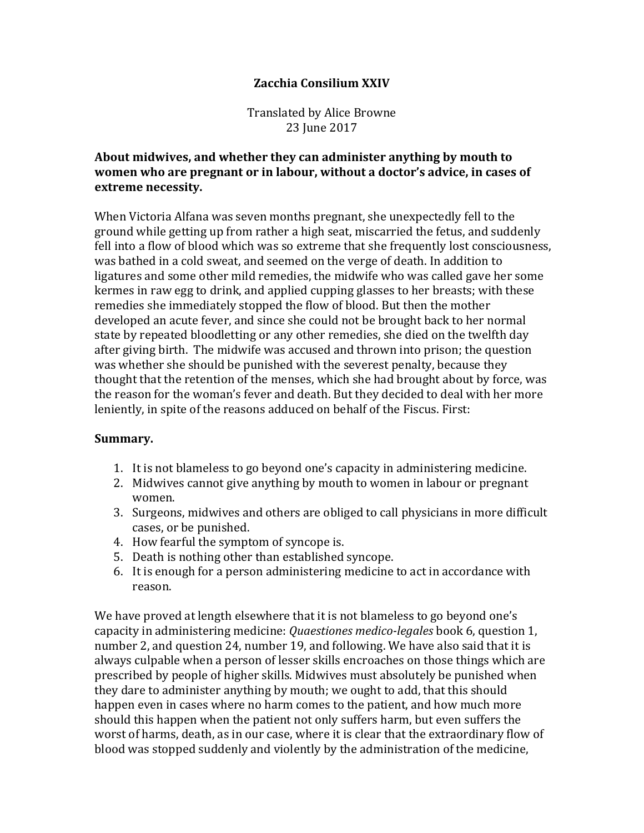## **Zacchia Consilium XXIV**

Translated by Alice Browne 23 June 2017

## About midwives, and whether they can administer anything by mouth to women who are pregnant or in labour, without a doctor's advice, in cases of **extreme necessity.**

When Victoria Alfana was seven months pregnant, she unexpectedly fell to the ground while getting up from rather a high seat, miscarried the fetus, and suddenly fell into a flow of blood which was so extreme that she frequently lost consciousness, was bathed in a cold sweat, and seemed on the verge of death. In addition to ligatures and some other mild remedies, the midwife who was called gave her some kermes in raw egg to drink, and applied cupping glasses to her breasts; with these remedies she immediately stopped the flow of blood. But then the mother developed an acute fever, and since she could not be brought back to her normal state by repeated bloodletting or any other remedies, she died on the twelfth day after giving birth. The midwife was accused and thrown into prison; the question was whether she should be punished with the severest penalty, because they thought that the retention of the menses, which she had brought about by force, was the reason for the woman's fever and death. But they decided to deal with her more leniently, in spite of the reasons adduced on behalf of the Fiscus. First:

## **Summary.**

- 1. It is not blameless to go beyond one's capacity in administering medicine.
- 2. Midwives cannot give anything by mouth to women in labour or pregnant women.
- 3. Surgeons, midwives and others are obliged to call physicians in more difficult cases, or be punished.
- 4. How fearful the symptom of syncope is.
- 5. Death is nothing other than established syncope.
- 6. It is enough for a person administering medicine to act in accordance with reason.

We have proved at length elsewhere that it is not blameless to go beyond one's capacity in administering medicine: *Quaestiones medico-legales* book 6, question 1, number 2, and question 24, number 19, and following. We have also said that it is always culpable when a person of lesser skills encroaches on those things which are prescribed by people of higher skills. Midwives must absolutely be punished when they dare to administer anything by mouth; we ought to add, that this should happen even in cases where no harm comes to the patient, and how much more should this happen when the patient not only suffers harm, but even suffers the worst of harms, death, as in our case, where it is clear that the extraordinary flow of blood was stopped suddenly and violently by the administration of the medicine,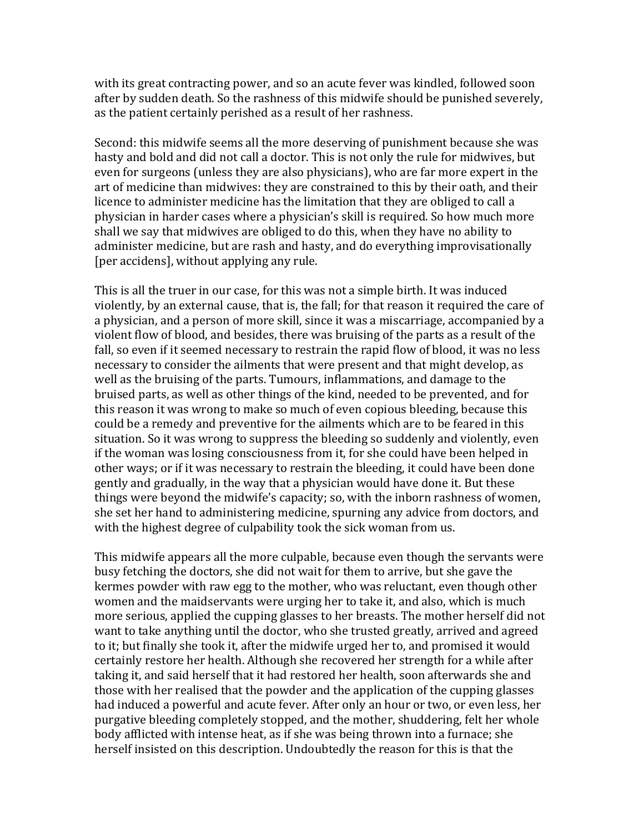with its great contracting power, and so an acute fever was kindled, followed soon after by sudden death. So the rashness of this midwife should be punished severely, as the patient certainly perished as a result of her rashness.

Second: this midwife seems all the more deserving of punishment because she was hasty and bold and did not call a doctor. This is not only the rule for midwives, but even for surgeons (unless they are also physicians), who are far more expert in the art of medicine than midwives: they are constrained to this by their oath, and their licence to administer medicine has the limitation that they are obliged to call a physician in harder cases where a physician's skill is required. So how much more shall we say that midwives are obliged to do this, when they have no ability to administer medicine, but are rash and hasty, and do everything improvisationally [per accidens], without applying any rule.

This is all the truer in our case, for this was not a simple birth. It was induced violently, by an external cause, that is, the fall; for that reason it required the care of a physician, and a person of more skill, since it was a miscarriage, accompanied by a violent flow of blood, and besides, there was bruising of the parts as a result of the fall, so even if it seemed necessary to restrain the rapid flow of blood, it was no less necessary to consider the ailments that were present and that might develop, as well as the bruising of the parts. Tumours, inflammations, and damage to the bruised parts, as well as other things of the kind, needed to be prevented, and for this reason it was wrong to make so much of even copious bleeding, because this could be a remedy and preventive for the ailments which are to be feared in this situation. So it was wrong to suppress the bleeding so suddenly and violently, even if the woman was losing consciousness from it, for she could have been helped in other ways; or if it was necessary to restrain the bleeding, it could have been done gently and gradually, in the way that a physician would have done it. But these things were beyond the midwife's capacity; so, with the inborn rashness of women, she set her hand to administering medicine, spurning any advice from doctors, and with the highest degree of culpability took the sick woman from us.

This midwife appears all the more culpable, because even though the servants were busy fetching the doctors, she did not wait for them to arrive, but she gave the kermes powder with raw egg to the mother, who was reluctant, even though other women and the maidservants were urging her to take it, and also, which is much more serious, applied the cupping glasses to her breasts. The mother herself did not want to take anything until the doctor, who she trusted greatly, arrived and agreed to it; but finally she took it, after the midwife urged her to, and promised it would certainly restore her health. Although she recovered her strength for a while after taking it, and said herself that it had restored her health, soon afterwards she and those with her realised that the powder and the application of the cupping glasses had induced a powerful and acute fever. After only an hour or two, or even less, her purgative bleeding completely stopped, and the mother, shuddering, felt her whole body afflicted with intense heat, as if she was being thrown into a furnace; she herself insisted on this description. Undoubtedly the reason for this is that the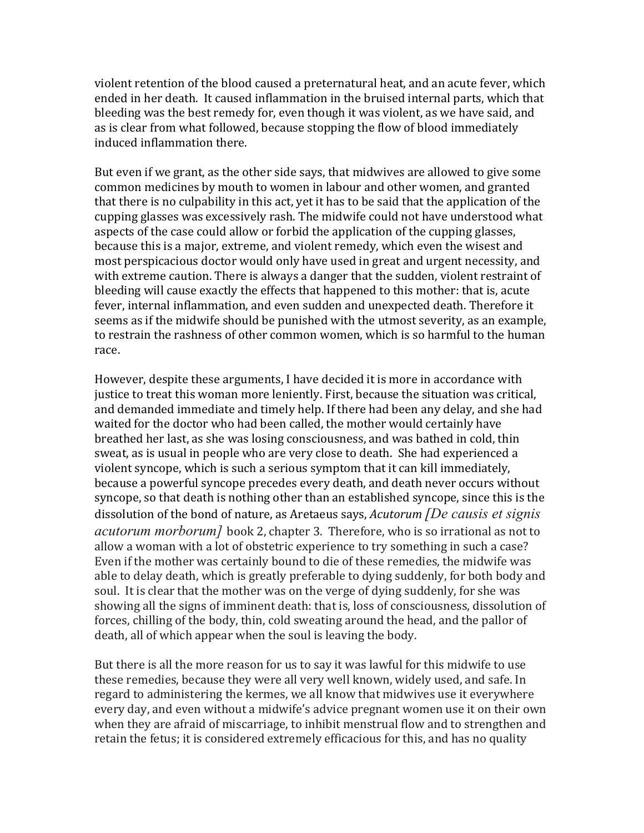violent retention of the blood caused a preternatural heat, and an acute fever, which ended in her death. It caused inflammation in the bruised internal parts, which that bleeding was the best remedy for, even though it was violent, as we have said, and as is clear from what followed, because stopping the flow of blood immediately induced inflammation there.

But even if we grant, as the other side says, that midwives are allowed to give some common medicines by mouth to women in labour and other women, and granted that there is no culpability in this act, yet it has to be said that the application of the cupping glasses was excessively rash. The midwife could not have understood what aspects of the case could allow or forbid the application of the cupping glasses, because this is a major, extreme, and violent remedy, which even the wisest and most perspicacious doctor would only have used in great and urgent necessity, and with extreme caution. There is always a danger that the sudden, violent restraint of bleeding will cause exactly the effects that happened to this mother: that is, acute fever, internal inflammation, and even sudden and unexpected death. Therefore it seems as if the midwife should be punished with the utmost severity, as an example, to restrain the rashness of other common women, which is so harmful to the human race. 

However, despite these arguments, I have decided it is more in accordance with justice to treat this woman more leniently. First, because the situation was critical, and demanded immediate and timely help. If there had been any delay, and she had waited for the doctor who had been called, the mother would certainly have breathed her last, as she was losing consciousness, and was bathed in cold, thin sweat, as is usual in people who are very close to death. She had experienced a violent syncope, which is such a serious symptom that it can kill immediately, because a powerful syncope precedes every death, and death never occurs without syncope, so that death is nothing other than an established syncope, since this is the dissolution of the bond of nature, as Aretaeus says, *Acutorum [De causis et signis acutorum morborum]* book 2, chapter 3. Therefore, who is so irrational as not to allow a woman with a lot of obstetric experience to try something in such a case? Even if the mother was certainly bound to die of these remedies, the midwife was able to delay death, which is greatly preferable to dying suddenly, for both body and soul. It is clear that the mother was on the verge of dying suddenly, for she was showing all the signs of imminent death: that is, loss of consciousness, dissolution of forces, chilling of the body, thin, cold sweating around the head, and the pallor of death, all of which appear when the soul is leaving the body.

But there is all the more reason for us to say it was lawful for this midwife to use these remedies, because they were all very well known, widely used, and safe. In regard to administering the kermes, we all know that midwives use it everywhere every day, and even without a midwife's advice pregnant women use it on their own when they are afraid of miscarriage, to inhibit menstrual flow and to strengthen and retain the fetus; it is considered extremely efficacious for this, and has no quality